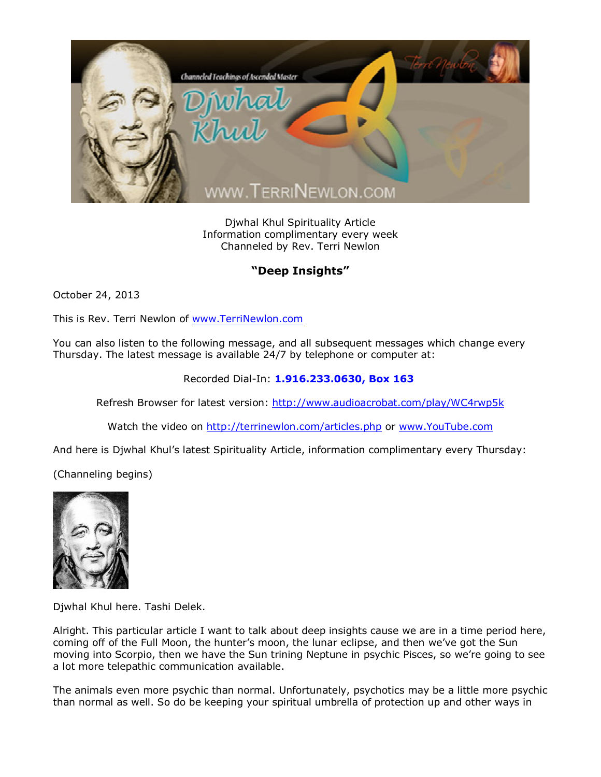

Djwhal Khul Spirituality Article Information complimentary every week Channeled by Rev. Terri Newlon

## **"Deep Insights"**

October 24, 2013

This is Rev. Terri Newlon of [www.TerriNewlon.com](http://www.terrinewlon.com/)

You can also listen to the following message, and all subsequent messages which change every Thursday. The latest message is available 24/7 by telephone or computer at:

Recorded Dial-In: **1.916.233.0630, Box 163**

Refresh Browser for latest version: <http://www.audioacrobat.com/play/WC4rwp5k>

Watch the video on <http://terrinewlon.com/articles.php> or [www.YouTube.com](http://www.youtube.com/)

And here is Djwhal Khul's latest Spirituality Article, information complimentary every Thursday:

(Channeling begins)



Djwhal Khul here. Tashi Delek.

Alright. This particular article I want to talk about deep insights cause we are in a time period here, coming off of the Full Moon, the hunter's moon, the lunar eclipse, and then we've got the Sun moving into Scorpio, then we have the Sun trining Neptune in psychic Pisces, so we're going to see a lot more telepathic communication available.

The animals even more psychic than normal. Unfortunately, psychotics may be a little more psychic than normal as well. So do be keeping your spiritual umbrella of protection up and other ways in